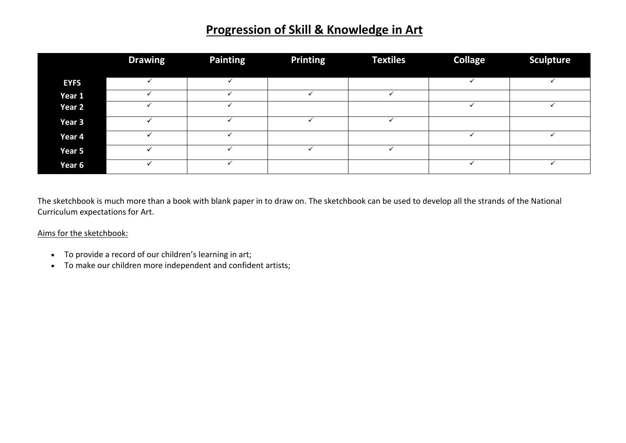## **Progression of Skill & Knowledge in Art**

|             | <b>Drawing</b> | <b>Painting</b> | <b>Printing</b> | <b>Textiles</b> | <b>Collage</b> | <b>Sculpture</b> |
|-------------|----------------|-----------------|-----------------|-----------------|----------------|------------------|
|             |                |                 |                 |                 |                |                  |
| <b>EYFS</b> |                |                 |                 |                 |                |                  |
| Year 1      |                |                 |                 |                 |                |                  |
| Year 2      |                |                 |                 |                 |                |                  |
| Year 3      |                |                 |                 |                 |                |                  |
| Year 4      |                |                 |                 |                 |                |                  |
| Year 5      |                |                 |                 |                 |                |                  |
| Year 6      |                |                 |                 |                 |                |                  |

The sketchbook is much more than a book with blank paper in to draw on. The sketchbook can be used to develop all the strands of the National Curriculum expectations for Art.

## Aims for the sketchbook:

- To provide a record of our children's learning in art;
- To make our children more independent and confident artists;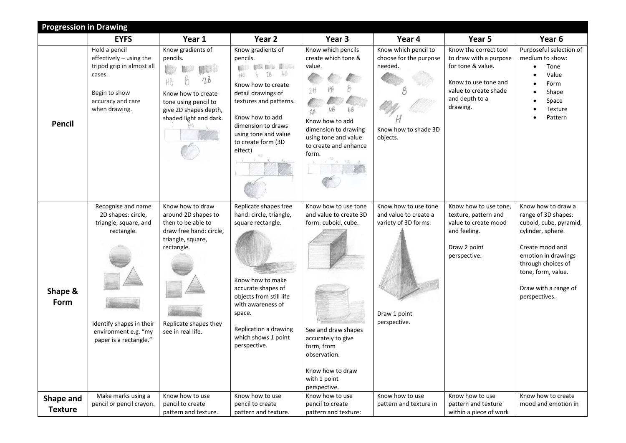|                 | <b>Progression in Drawing</b>                                                                                                                                 |                                                                                                                                                                           |                                                                                                                                                                                                                                                                |                                                                                                                                                                                                      |                                                                                                       |                                                                                                                                                     |                                                                                                                                                                                                                         |  |  |
|-----------------|---------------------------------------------------------------------------------------------------------------------------------------------------------------|---------------------------------------------------------------------------------------------------------------------------------------------------------------------------|----------------------------------------------------------------------------------------------------------------------------------------------------------------------------------------------------------------------------------------------------------------|------------------------------------------------------------------------------------------------------------------------------------------------------------------------------------------------------|-------------------------------------------------------------------------------------------------------|-----------------------------------------------------------------------------------------------------------------------------------------------------|-------------------------------------------------------------------------------------------------------------------------------------------------------------------------------------------------------------------------|--|--|
|                 | <b>EYFS</b>                                                                                                                                                   | Year 1                                                                                                                                                                    | Year 2                                                                                                                                                                                                                                                         | Year 3                                                                                                                                                                                               | Year 4                                                                                                | Year 5                                                                                                                                              | Year 6                                                                                                                                                                                                                  |  |  |
| <b>Pencil</b>   | Hold a pencil<br>effectively - using the<br>tripod grip in almost all<br>cases.<br>Begin to show<br>accuracy and care<br>when drawing.                        | Know gradients of<br>pencils.<br><b>IN MARK</b><br>2B<br>Know how to create<br>tone using pencil to<br>give 2D shapes depth,<br>shaded light and dark.                    | Know gradients of<br>pencils.<br><b>MOOD BOOK BOOK AND AND</b><br>46<br>2B<br>Hb<br>Know how to create<br>detail drawings of<br>textures and patterns.<br>Know how to add<br>dimension to draws<br>using tone and value<br>to create form (3D<br>effect)<br>HB | Know which pencils<br>create which tone &<br>value.<br>Know how to add<br>dimension to drawing<br>using tone and value<br>to create and enhance<br>form.<br>$\frac{148}{3}$ $\frac{6}{4}$ 5          | Know which pencil to<br>choose for the purpose<br>needed.<br>Know how to shade 3D<br>objects.         | Know the correct tool<br>to draw with a purpose<br>for tone & value.<br>Know to use tone and<br>value to create shade<br>and depth to a<br>drawing. | Purposeful selection of<br>medium to show:<br>Tone<br>Value<br>Form<br>Shape<br>Space<br>Texture<br>Pattern                                                                                                             |  |  |
| Shape &<br>Form | Recognise and name<br>2D shapes: circle,<br>triangle, square, and<br>rectangle.<br>Identify shapes in their<br>environment e.g. "my<br>paper is a rectangle." | Know how to draw<br>around 2D shapes to<br>then to be able to<br>draw free hand: circle,<br>triangle, square,<br>rectangle.<br>Replicate shapes they<br>see in real life. | Replicate shapes free<br>hand: circle, triangle,<br>square rectangle.<br>Know how to make<br>accurate shapes of<br>objects from still life<br>with awareness of<br>space.<br>Replication a drawing<br>which shows 1 point<br>perspective.                      | Know how to use tone<br>and value to create 3D<br>form: cuboid, cube.<br>See and draw shapes<br>accurately to give<br>form, from<br>observation.<br>Know how to draw<br>with 1 point<br>perspective. | Know how to use tone<br>and value to create a<br>variety of 3D forms.<br>Draw 1 point<br>perspective. | Know how to use tone,<br>texture, pattern and<br>value to create mood<br>and feeling.<br>Draw 2 point<br>perspective.                               | Know how to draw a<br>range of 3D shapes:<br>cuboid, cube, pyramid,<br>cylinder, sphere.<br>Create mood and<br>emotion in drawings<br>through choices of<br>tone, form, value.<br>Draw with a range of<br>perspectives. |  |  |
| Shape and       | Make marks using a<br>pencil or pencil crayon.                                                                                                                | Know how to use<br>pencil to create                                                                                                                                       | Know how to use<br>pencil to create                                                                                                                                                                                                                            | Know how to use<br>pencil to create                                                                                                                                                                  | Know how to use<br>pattern and texture in                                                             | Know how to use<br>pattern and texture                                                                                                              | Know how to create<br>mood and emotion in                                                                                                                                                                               |  |  |
| <b>Texture</b>  |                                                                                                                                                               | pattern and texture.                                                                                                                                                      | pattern and texture.                                                                                                                                                                                                                                           | pattern and texture:                                                                                                                                                                                 |                                                                                                       | within a piece of work                                                                                                                              |                                                                                                                                                                                                                         |  |  |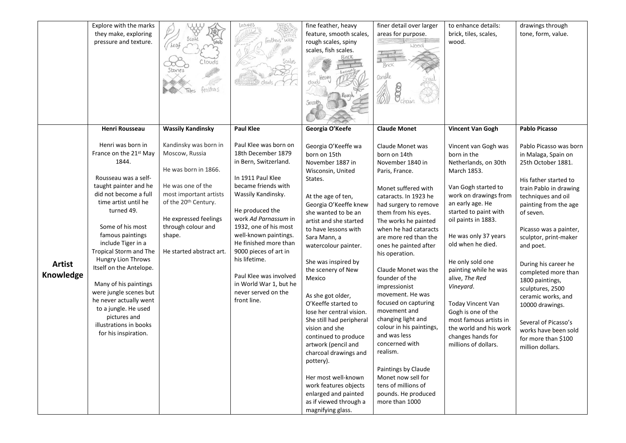|               | Explore with the marks               |                                  | Leaves                 | fine feather, heavy      | finer detail over larger | to enhance details:     | drawings through       |
|---------------|--------------------------------------|----------------------------------|------------------------|--------------------------|--------------------------|-------------------------|------------------------|
|               | they make, exploring                 |                                  |                        | feature, smooth scales,  | areas for purpose.       | brick, tiles, scales,   | tone, form, value.     |
|               | pressure and texture.                | (heat                            | eathers were           | rough scales, spiny      |                          | wood.                   |                        |
|               |                                      |                                  |                        | scales, fish scales.     |                          |                         |                        |
|               |                                      | Clouds                           | Scales                 |                          |                          |                         |                        |
|               |                                      | Stones                           |                        |                          |                          |                         |                        |
|               |                                      |                                  |                        | Fine                     | Candle                   |                         |                        |
|               |                                      |                                  |                        | clouds                   |                          |                         |                        |
|               |                                      | feathers                         |                        |                          |                          |                         |                        |
|               |                                      |                                  |                        | Smooth                   |                          |                         |                        |
|               |                                      |                                  |                        |                          |                          |                         |                        |
|               |                                      |                                  |                        |                          |                          |                         |                        |
|               | <b>Henri Rousseau</b>                | <b>Wassily Kandinsky</b>         | <b>Paul Klee</b>       | Georgia O'Keefe          | <b>Claude Monet</b>      | <b>Vincent Van Gogh</b> | <b>Pablo Picasso</b>   |
|               | Henri was born in                    | Kandinsky was born in            | Paul Klee was born on  | Georgia O'Keeffe wa      | Claude Monet was         | Vincent van Gogh was    | Pablo Picasso was born |
|               | France on the 21 <sup>st</sup> May   | Moscow, Russia                   | 18th December 1879     | born on 15th             | born on 14th             | born in the             | in Malaga, Spain on    |
|               | 1844.                                |                                  | in Bern, Switzerland.  | November 1887 in         | November 1840 in         | Netherlands, on 30th    | 25th October 1881.     |
|               |                                      | He was born in 1866.             |                        | Wisconsin, United        | Paris, France.           | March 1853.             |                        |
|               | Rousseau was a self-                 |                                  | In 1911 Paul Klee      | States.                  |                          |                         | His father started to  |
|               | taught painter and he                | He was one of the                | became friends with    |                          | Monet suffered with      | Van Gogh started to     | train Pablo in drawing |
|               | did not become a full                | most important artists           | Wassily Kandinsky.     | At the age of ten,       | cataracts. In 1923 he    | work on drawings from   | techniques and oil     |
|               | time artist until he                 | of the 20 <sup>th</sup> Century. |                        | Georgia O'Keeffe knew    | had surgery to remove    | an early age. He        | painting from the age  |
|               | turned 49.                           |                                  | He produced the        | she wanted to be an      | them from his eyes.      | started to paint with   | of seven.              |
|               |                                      | He expressed feelings            | work Ad Parnassum in   | artist and she started   | The works he painted     | oil paints in 1883.     |                        |
|               | Some of his most                     | through colour and               | 1932, one of his most  | to have lessons with     | when he had cataracts    |                         | Picasso was a painter, |
|               | famous paintings                     | shape.                           | well-known paintings.  | Sara Mann, a             | are more red than the    | He was only 37 years    | sculptor, print-maker  |
|               | include Tiger in a                   |                                  | He finished more than  | watercolour painter.     | ones he painted after    | old when he died.       | and poet.              |
|               | Tropical Storm and The               | He started abstract art.         | 9000 pieces of art in  |                          | his operation.           |                         |                        |
| <b>Artist</b> | Hungry Lion Throws                   |                                  | his lifetime.          | She was inspired by      |                          | He only sold one        | During his career he   |
|               | Itself on the Antelope.              |                                  |                        | the scenery of New       | Claude Monet was the     | painting while he was   | completed more than    |
| Knowledge     |                                      |                                  | Paul Klee was involved | Mexico                   | founder of the           | alive, The Red          | 1800 paintings,        |
|               | Many of his paintings                |                                  | in World War 1, but he |                          | impressionist            | Vineyard.               | sculptures, 2500       |
|               | were jungle scenes but               |                                  | never served on the    | As she got older,        | movement. He was         |                         | ceramic works, and     |
|               | he never actually went               |                                  | front line.            | O'Keeffe started to      | focused on capturing     | Today Vincent Van       | 10000 drawings.        |
|               | to a jungle. He used<br>pictures and |                                  |                        | lose her central vision. | movement and             | Gogh is one of the      |                        |
|               | illustrations in books               |                                  |                        | She still had peripheral | changing light and       | most famous artists in  | Several of Picasso's   |
|               |                                      |                                  |                        | vision and she           | colour in his paintings, | the world and his work  | works have been sold   |
|               | for his inspiration.                 |                                  |                        | continued to produce     | and was less             | changes hands for       | for more than \$100    |
|               |                                      |                                  |                        | artwork (pencil and      | concerned with           | millions of dollars.    | million dollars.       |
|               |                                      |                                  |                        | charcoal drawings and    | realism.                 |                         |                        |
|               |                                      |                                  |                        | pottery).                |                          |                         |                        |
|               |                                      |                                  |                        |                          | Paintings by Claude      |                         |                        |
|               |                                      |                                  |                        | Her most well-known      | Monet now sell for       |                         |                        |
|               |                                      |                                  |                        | work features objects    | tens of millions of      |                         |                        |
|               |                                      |                                  |                        | enlarged and painted     | pounds. He produced      |                         |                        |
|               |                                      |                                  |                        | as if viewed through a   | more than 1000           |                         |                        |
|               |                                      |                                  |                        | magnifying glass.        |                          |                         |                        |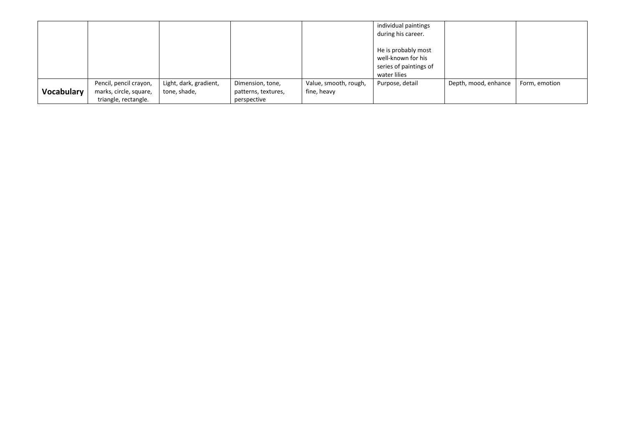|            |                                                                          |                                        |                                                        |                                      | individual paintings<br>during his career.                                          |                      |               |
|------------|--------------------------------------------------------------------------|----------------------------------------|--------------------------------------------------------|--------------------------------------|-------------------------------------------------------------------------------------|----------------------|---------------|
|            |                                                                          |                                        |                                                        |                                      | He is probably most<br>well-known for his<br>series of paintings of<br>water lilies |                      |               |
| Vocabulary | Pencil, pencil crayon,<br>marks, circle, square,<br>triangle, rectangle. | Light, dark, gradient,<br>tone, shade, | Dimension, tone,<br>patterns, textures,<br>perspective | Value, smooth, rough,<br>fine, heavy | Purpose, detail                                                                     | Depth, mood, enhance | Form, emotion |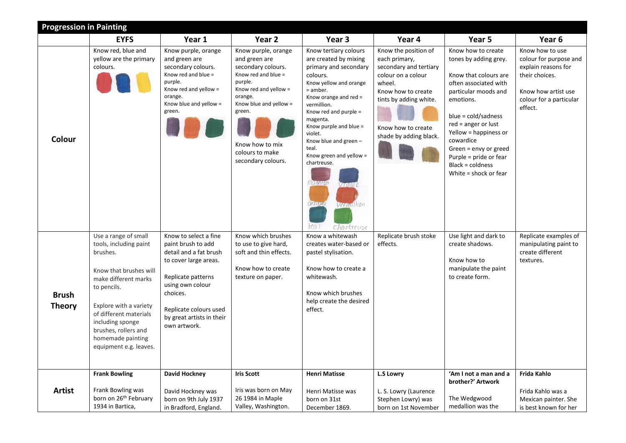|                               | <b>Progression in Painting</b>                                                                                                                                                                                                                                             |                                                                                                                                                                                                                             |                                                                                                                                                                                                                                  |                                                                                                                                                                                                                                                                                                                                                                                           |                                                                                                                                                                                                 |                                                                                                                                                                                                                                                                                                                          |                                                                                                                                                 |  |  |  |
|-------------------------------|----------------------------------------------------------------------------------------------------------------------------------------------------------------------------------------------------------------------------------------------------------------------------|-----------------------------------------------------------------------------------------------------------------------------------------------------------------------------------------------------------------------------|----------------------------------------------------------------------------------------------------------------------------------------------------------------------------------------------------------------------------------|-------------------------------------------------------------------------------------------------------------------------------------------------------------------------------------------------------------------------------------------------------------------------------------------------------------------------------------------------------------------------------------------|-------------------------------------------------------------------------------------------------------------------------------------------------------------------------------------------------|--------------------------------------------------------------------------------------------------------------------------------------------------------------------------------------------------------------------------------------------------------------------------------------------------------------------------|-------------------------------------------------------------------------------------------------------------------------------------------------|--|--|--|
|                               | <b>EYFS</b>                                                                                                                                                                                                                                                                | Year 1                                                                                                                                                                                                                      | Year 2                                                                                                                                                                                                                           | Year 3                                                                                                                                                                                                                                                                                                                                                                                    | Year 4                                                                                                                                                                                          | Year 5                                                                                                                                                                                                                                                                                                                   | Year 6                                                                                                                                          |  |  |  |
| Colour                        | Know red, blue and<br>yellow are the primary<br>colours.                                                                                                                                                                                                                   | Know purple, orange<br>and green are<br>secondary colours.<br>Know red and blue =<br>purple.<br>Know red and yellow =<br>orange.<br>Know blue and yellow =<br>green.                                                        | Know purple, orange<br>and green are<br>secondary colours.<br>Know red and blue =<br>purple.<br>Know red and yellow =<br>orange.<br>Know blue and yellow =<br>green.<br>Know how to mix<br>colours to make<br>secondary colours. | Know tertiary colours<br>are created by mixing<br>primary and secondary<br>colours.<br>Know yellow and orange<br>= amber.<br>Know orange and red =<br>vermillion.<br>Know red and purple =<br>magenta.<br>Know purple and blue =<br>violet.<br>Know blue and green -<br>teal.<br>Know green and yellow =<br>chartreuse.<br>Magenta<br>Violet<br>amber<br>Vermillion<br> ea <br>Chartreuse | Know the position of<br>each primary,<br>secondary and tertiary<br>colour on a colour<br>wheel.<br>Know how to create<br>tints by adding white.<br>Know how to create<br>shade by adding black. | Know how to create<br>tones by adding grey.<br>Know that colours are<br>often associated with<br>particular moods and<br>emotions.<br>blue = cold/sadness<br>$red = anger$ or lust<br>Yellow = happiness or<br>cowardice<br>Green = envy or greed<br>Purple = pride or fear<br>Black = coldness<br>White = shock or fear | Know how to use<br>colour for purpose and<br>explain reasons for<br>their choices.<br>Know how artist use<br>colour for a particular<br>effect. |  |  |  |
| <b>Brush</b><br><b>Theory</b> | Use a range of small<br>tools, including paint<br>brushes.<br>Know that brushes will<br>make different marks<br>to pencils.<br>Explore with a variety<br>of different materials<br>including sponge<br>brushes, rollers and<br>homemade painting<br>equipment e.g. leaves. | Know to select a fine<br>paint brush to add<br>detail and a fat brush<br>to cover large areas.<br>Replicate patterns<br>using own colour<br>choices.<br>Replicate colours used<br>by great artists in their<br>own artwork. | Know which brushes<br>to use to give hard,<br>soft and thin effects.<br>Know how to create<br>texture on paper.                                                                                                                  | Know a whitewash<br>creates water-based or<br>pastel stylisation.<br>Know how to create a<br>whitewash.<br>Know which brushes<br>help create the desired<br>effect.                                                                                                                                                                                                                       | Replicate brush stoke<br>effects.                                                                                                                                                               | Use light and dark to<br>create shadows.<br>Know how to<br>manipulate the paint<br>to create form.                                                                                                                                                                                                                       | Replicate examples of<br>manipulating paint to<br>create different<br>textures.                                                                 |  |  |  |
| <b>Artist</b>                 | <b>Frank Bowling</b><br>Frank Bowling was                                                                                                                                                                                                                                  | David Hockney<br>David Hockney was                                                                                                                                                                                          | <b>Iris Scott</b><br>Iris was born on May                                                                                                                                                                                        | <b>Henri Matisse</b><br>Henri Matisse was                                                                                                                                                                                                                                                                                                                                                 | <b>L.S Lowry</b><br>L. S. Lowry (Laurence                                                                                                                                                       | 'Am I not a man and a<br>brother?' Artwork                                                                                                                                                                                                                                                                               | Frida Kahlo<br>Frida Kahlo was a                                                                                                                |  |  |  |
|                               | born on 26 <sup>th</sup> February<br>1934 in Bartica,                                                                                                                                                                                                                      | born on 9th July 1937<br>in Bradford, England.                                                                                                                                                                              | 26 1984 in Maple<br>Valley, Washington.                                                                                                                                                                                          | born on 31st<br>December 1869.                                                                                                                                                                                                                                                                                                                                                            | Stephen Lowry) was<br>born on 1st November                                                                                                                                                      | The Wedgwood<br>medallion was the                                                                                                                                                                                                                                                                                        | Mexican painter. She<br>is best known for her                                                                                                   |  |  |  |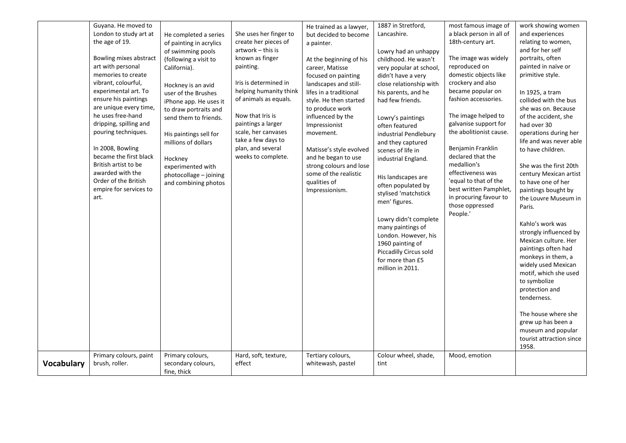|                   | Guyana. He moved to                      |                         |                        | He trained as a lawyer, | 1887 in Stretford,      | most famous image of                            | work showing women                          |
|-------------------|------------------------------------------|-------------------------|------------------------|-------------------------|-------------------------|-------------------------------------------------|---------------------------------------------|
|                   | London to study art at                   | He completed a series   | She uses her finger to | but decided to become   | Lancashire.             | a black person in all of                        | and experiences                             |
|                   | the age of 19.                           | of painting in acrylics | create her pieces of   | a painter.              |                         | 18th-century art.                               | relating to women,                          |
|                   |                                          | of swimming pools       | artwork – this is      |                         | Lowry had an unhappy    |                                                 | and for her self                            |
|                   | Bowling mixes abstract                   | (following a visit to   | known as finger        | At the beginning of his | childhood. He wasn't    | The image was widely                            | portraits, often                            |
|                   | art with personal                        | California).            | painting.              | career, Matisse         | very popular at school, | reproduced on                                   | painted in naïve or                         |
|                   | memories to create                       |                         |                        | focused on painting     | didn't have a very      | domestic objects like                           | primitive style.                            |
|                   | vibrant, colourful,                      | Hockney is an avid      | Iris is determined in  | landscapes and still-   | close relationship with | crockery and also                               |                                             |
|                   | experimental art. To                     | user of the Brushes     | helping humanity think | lifes in a traditional  | his parents, and he     | became popular on                               | In 1925, a tram                             |
|                   | ensure his paintings                     | iPhone app. He uses it  | of animals as equals.  | style. He then started  | had few friends.        | fashion accessories.                            | collided with the bus                       |
|                   | are unique every time,                   | to draw portraits and   |                        | to produce work         |                         |                                                 | she was on. Because                         |
|                   | he uses free-hand                        | send them to friends.   | Now that Iris is       | influenced by the       | Lowry's paintings       | The image helped to                             | of the accident, she                        |
|                   | dripping, spilling and                   |                         | paintings a larger     | Impressionist           | often featured          | galvanise support for                           | had over 30                                 |
|                   | pouring techniques.                      | His paintings sell for  | scale, her canvases    | movement.               | industrial Pendlebury   | the abolitionist cause.                         | operations during her                       |
|                   |                                          | millions of dollars     | take a few days to     |                         | and they captured       |                                                 | life and was never able                     |
|                   | In 2008, Bowling                         |                         | plan, and several      | Matisse's style evolved | scenes of life in       | Benjamin Franklin                               | to have children.                           |
|                   | became the first black                   | Hockney                 | weeks to complete.     | and he began to use     | industrial England.     | declared that the                               |                                             |
|                   | British artist to be                     | experimented with       |                        | strong colours and lose |                         | medallion's                                     | She was the first 20th                      |
|                   | awarded with the<br>Order of the British | photocollage - joining  |                        | some of the realistic   | His landscapes are      | effectiveness was                               | century Mexican artist                      |
|                   | empire for services to                   | and combining photos    |                        | qualities of            | often populated by      | 'equal to that of the<br>best written Pamphlet, | to have one of her                          |
|                   | art.                                     |                         |                        | Impressionism.          | stylised 'matchstick    | in procuring favour to                          | paintings bought by<br>the Louvre Museum in |
|                   |                                          |                         |                        |                         | men' figures.           | those oppressed                                 | Paris.                                      |
|                   |                                          |                         |                        |                         |                         | People.'                                        |                                             |
|                   |                                          |                         |                        |                         | Lowry didn't complete   |                                                 | Kahlo's work was                            |
|                   |                                          |                         |                        |                         | many paintings of       |                                                 | strongly influenced by                      |
|                   |                                          |                         |                        |                         | London. However, his    |                                                 | Mexican culture. Her                        |
|                   |                                          |                         |                        |                         | 1960 painting of        |                                                 | paintings often had                         |
|                   |                                          |                         |                        |                         | Piccadilly Circus sold  |                                                 | monkeys in them, a                          |
|                   |                                          |                         |                        |                         | for more than £5        |                                                 | widely used Mexican                         |
|                   |                                          |                         |                        |                         | million in 2011.        |                                                 | motif, which she used                       |
|                   |                                          |                         |                        |                         |                         |                                                 | to symbolize                                |
|                   |                                          |                         |                        |                         |                         |                                                 | protection and                              |
|                   |                                          |                         |                        |                         |                         |                                                 | tenderness.                                 |
|                   |                                          |                         |                        |                         |                         |                                                 |                                             |
|                   |                                          |                         |                        |                         |                         |                                                 | The house where she                         |
|                   |                                          |                         |                        |                         |                         |                                                 | grew up has been a                          |
|                   |                                          |                         |                        |                         |                         |                                                 | museum and popular                          |
|                   |                                          |                         |                        |                         |                         |                                                 | tourist attraction since                    |
|                   |                                          |                         |                        |                         |                         |                                                 | 1958.                                       |
|                   | Primary colours, paint                   | Primary colours,        | Hard, soft, texture,   | Tertiary colours,       | Colour wheel, shade,    | Mood, emotion                                   |                                             |
| <b>Vocabulary</b> | brush, roller.                           | secondary colours,      | effect                 | whitewash, pastel       | tint                    |                                                 |                                             |
|                   |                                          | fine, thick             |                        |                         |                         |                                                 |                                             |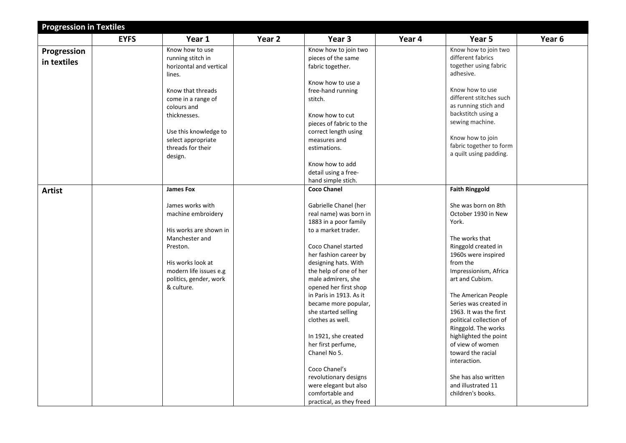| <b>Progression in Textiles</b> |             |                                      |        |                                                  |        |                                                 |        |
|--------------------------------|-------------|--------------------------------------|--------|--------------------------------------------------|--------|-------------------------------------------------|--------|
|                                | <b>EYFS</b> | Year 1                               | Year 2 | Year 3                                           | Year 4 | Year 5                                          | Year 6 |
| Progression                    |             | Know how to use                      |        | Know how to join two                             |        | Know how to join two                            |        |
| in textiles                    |             | running stitch in                    |        | pieces of the same                               |        | different fabrics                               |        |
|                                |             | horizontal and vertical              |        | fabric together.                                 |        | together using fabric                           |        |
|                                |             | lines.                               |        |                                                  |        | adhesive.                                       |        |
|                                |             |                                      |        | Know how to use a                                |        |                                                 |        |
|                                |             | Know that threads                    |        | free-hand running                                |        | Know how to use                                 |        |
|                                |             | come in a range of                   |        | stitch.                                          |        | different stitches such<br>as running stich and |        |
|                                |             | colours and<br>thicknesses.          |        | Know how to cut                                  |        | backstitch using a                              |        |
|                                |             |                                      |        |                                                  |        | sewing machine.                                 |        |
|                                |             | Use this knowledge to                |        | pieces of fabric to the<br>correct length using  |        |                                                 |        |
|                                |             | select appropriate                   |        | measures and                                     |        | Know how to join                                |        |
|                                |             | threads for their                    |        | estimations.                                     |        | fabric together to form                         |        |
|                                |             | design.                              |        |                                                  |        | a quilt using padding.                          |        |
|                                |             |                                      |        | Know how to add                                  |        |                                                 |        |
|                                |             |                                      |        | detail using a free-                             |        |                                                 |        |
|                                |             |                                      |        | hand simple stich.                               |        |                                                 |        |
| <b>Artist</b>                  |             | <b>James Fox</b>                     |        | <b>Coco Chanel</b>                               |        | <b>Faith Ringgold</b>                           |        |
|                                |             |                                      |        |                                                  |        |                                                 |        |
|                                |             | James works with                     |        | Gabrielle Chanel (her                            |        | She was born on 8th                             |        |
|                                |             | machine embroidery                   |        | real name) was born in                           |        | October 1930 in New                             |        |
|                                |             |                                      |        | 1883 in a poor family                            |        | York.                                           |        |
|                                |             | His works are shown in               |        | to a market trader.                              |        |                                                 |        |
|                                |             | Manchester and                       |        |                                                  |        | The works that                                  |        |
|                                |             | Preston.                             |        | Coco Chanel started                              |        | Ringgold created in                             |        |
|                                |             |                                      |        | her fashion career by                            |        | 1960s were inspired                             |        |
|                                |             | His works look at                    |        | designing hats. With                             |        | from the                                        |        |
|                                |             | modern life issues e.g               |        | the help of one of her                           |        | Impressionism, Africa                           |        |
|                                |             | politics, gender, work<br>& culture. |        | male admirers, she                               |        | art and Cubism.                                 |        |
|                                |             |                                      |        | opened her first shop<br>in Paris in 1913. As it |        |                                                 |        |
|                                |             |                                      |        | became more popular,                             |        | The American People<br>Series was created in    |        |
|                                |             |                                      |        | she started selling                              |        | 1963. It was the first                          |        |
|                                |             |                                      |        | clothes as well.                                 |        | political collection of                         |        |
|                                |             |                                      |        |                                                  |        | Ringgold. The works                             |        |
|                                |             |                                      |        | In 1921, she created                             |        | highlighted the point                           |        |
|                                |             |                                      |        | her first perfume,                               |        | of view of women                                |        |
|                                |             |                                      |        | Chanel No 5.                                     |        | toward the racial                               |        |
|                                |             |                                      |        |                                                  |        | interaction.                                    |        |
|                                |             |                                      |        | Coco Chanel's                                    |        |                                                 |        |
|                                |             |                                      |        | revolutionary designs                            |        | She has also written                            |        |
|                                |             |                                      |        | were elegant but also                            |        | and illustrated 11                              |        |
|                                |             |                                      |        | comfortable and                                  |        | children's books.                               |        |
|                                |             |                                      |        | practical, as they freed                         |        |                                                 |        |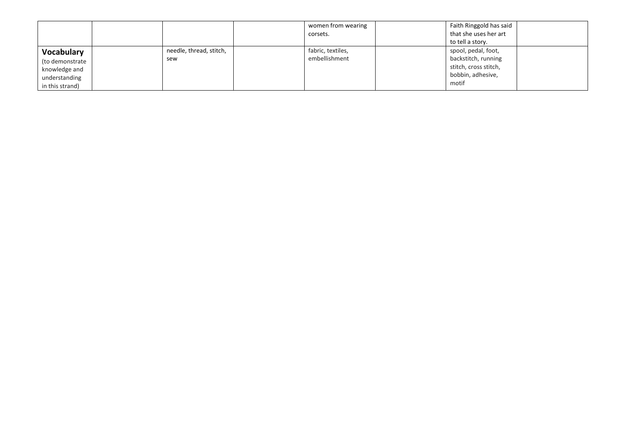|                 |                         | women from wearing | Faith Ringgold has said |
|-----------------|-------------------------|--------------------|-------------------------|
|                 |                         | corsets.           | that she uses her art   |
|                 |                         |                    | to tell a story.        |
| Vocabulary      | needle, thread, stitch, | fabric, textiles,  | spool, pedal, foot,     |
| (to demonstrate | sew                     | embellishment      | backstitch, running     |
| knowledge and   |                         |                    | stitch, cross stitch,   |
| understanding   |                         |                    | bobbin, adhesive,       |
| in this strand) |                         |                    | motif                   |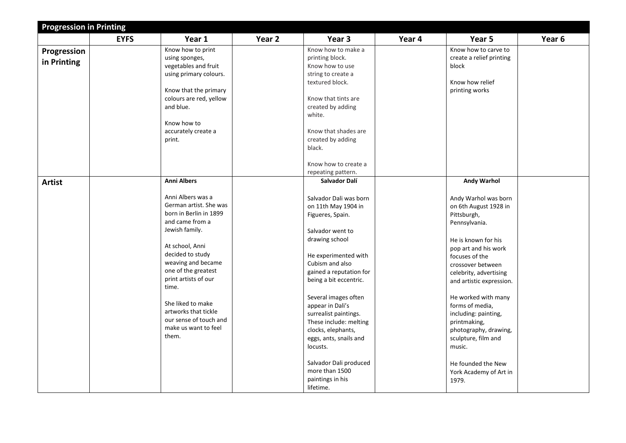|               | <b>Progression in Printing</b> |                         |        |                         |        |                          |        |  |  |  |
|---------------|--------------------------------|-------------------------|--------|-------------------------|--------|--------------------------|--------|--|--|--|
|               | <b>EYFS</b>                    | Year 1                  | Year 2 | Year 3                  | Year 4 | Year 5                   | Year 6 |  |  |  |
| Progression   |                                | Know how to print       |        | Know how to make a      |        | Know how to carve to     |        |  |  |  |
|               |                                | using sponges,          |        | printing block.         |        | create a relief printing |        |  |  |  |
| in Printing   |                                | vegetables and fruit    |        | Know how to use         |        | block                    |        |  |  |  |
|               |                                | using primary colours.  |        | string to create a      |        |                          |        |  |  |  |
|               |                                |                         |        | textured block.         |        | Know how relief          |        |  |  |  |
|               |                                | Know that the primary   |        |                         |        | printing works           |        |  |  |  |
|               |                                | colours are red, yellow |        | Know that tints are     |        |                          |        |  |  |  |
|               |                                | and blue.               |        | created by adding       |        |                          |        |  |  |  |
|               |                                |                         |        | white.                  |        |                          |        |  |  |  |
|               |                                | Know how to             |        |                         |        |                          |        |  |  |  |
|               |                                | accurately create a     |        | Know that shades are    |        |                          |        |  |  |  |
|               |                                | print.                  |        | created by adding       |        |                          |        |  |  |  |
|               |                                |                         |        | black.                  |        |                          |        |  |  |  |
|               |                                |                         |        |                         |        |                          |        |  |  |  |
|               |                                |                         |        | Know how to create a    |        |                          |        |  |  |  |
|               |                                |                         |        | repeating pattern.      |        |                          |        |  |  |  |
| <b>Artist</b> |                                | <b>Anni Albers</b>      |        | Salvador Dalí           |        | Andy Warhol              |        |  |  |  |
|               |                                |                         |        |                         |        |                          |        |  |  |  |
|               |                                | Anni Albers was a       |        | Salvador Dali was born  |        | Andy Warhol was born     |        |  |  |  |
|               |                                | German artist. She was  |        | on 11th May 1904 in     |        | on 6th August 1928 in    |        |  |  |  |
|               |                                | born in Berlin in 1899  |        | Figueres, Spain.        |        | Pittsburgh,              |        |  |  |  |
|               |                                | and came from a         |        |                         |        | Pennsylvania.            |        |  |  |  |
|               |                                | Jewish family.          |        | Salvador went to        |        |                          |        |  |  |  |
|               |                                |                         |        | drawing school          |        | He is known for his      |        |  |  |  |
|               |                                | At school, Anni         |        |                         |        |                          |        |  |  |  |
|               |                                | decided to study        |        | He experimented with    |        | pop art and his work     |        |  |  |  |
|               |                                | weaving and became      |        | Cubism and also         |        | focuses of the           |        |  |  |  |
|               |                                | one of the greatest     |        | gained a reputation for |        | crossover between        |        |  |  |  |
|               |                                | print artists of our    |        | being a bit eccentric.  |        | celebrity, advertising   |        |  |  |  |
|               |                                | time.                   |        |                         |        | and artistic expression. |        |  |  |  |
|               |                                |                         |        |                         |        |                          |        |  |  |  |
|               |                                | She liked to make       |        | Several images often    |        | He worked with many      |        |  |  |  |
|               |                                | artworks that tickle    |        | appear in Dali's        |        | forms of media,          |        |  |  |  |
|               |                                | our sense of touch and  |        | surrealist paintings.   |        | including: painting,     |        |  |  |  |
|               |                                | make us want to feel    |        | These include: melting  |        | printmaking,             |        |  |  |  |
|               |                                | them.                   |        | clocks, elephants,      |        | photography, drawing,    |        |  |  |  |
|               |                                |                         |        | eggs, ants, snails and  |        | sculpture, film and      |        |  |  |  |
|               |                                |                         |        | locusts.                |        | music.                   |        |  |  |  |
|               |                                |                         |        |                         |        |                          |        |  |  |  |
|               |                                |                         |        | Salvador Dali produced  |        | He founded the New       |        |  |  |  |
|               |                                |                         |        | more than 1500          |        | York Academy of Art in   |        |  |  |  |
|               |                                |                         |        | paintings in his        |        | 1979.                    |        |  |  |  |
|               |                                |                         |        | lifetime.               |        |                          |        |  |  |  |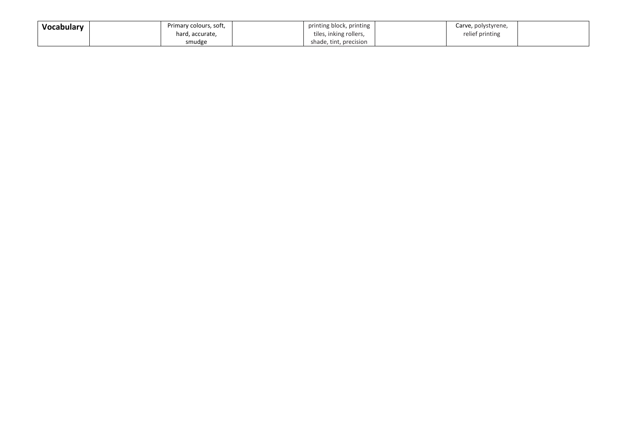| Vocabulary | Primary colours, soft, | printing block, printing | Carve, polystyrene, |  |
|------------|------------------------|--------------------------|---------------------|--|
|            | hard, accurate,        | tiles, inking rollers,   | relief printing     |  |
|            | smudge                 | shade, tint, precision   |                     |  |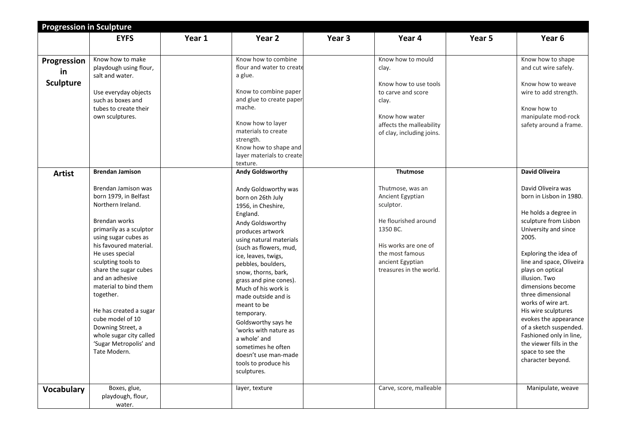|                   | <b>Progression in Sculpture</b>          |        |                                                    |        |                                             |        |                                   |  |  |  |
|-------------------|------------------------------------------|--------|----------------------------------------------------|--------|---------------------------------------------|--------|-----------------------------------|--|--|--|
|                   | <b>EYFS</b>                              | Year 1 | Year <sub>2</sub>                                  | Year 3 | Year 4                                      | Year 5 | Year 6                            |  |  |  |
|                   |                                          |        |                                                    |        |                                             |        |                                   |  |  |  |
|                   | Know how to make                         |        | Know how to combine                                |        | Know how to mould                           |        | Know how to shape                 |  |  |  |
| Progression       | playdough using flour,                   |        | flour and water to create                          |        | clay.                                       |        | and cut wire safely.              |  |  |  |
| in                | salt and water.                          |        | a glue.                                            |        |                                             |        |                                   |  |  |  |
| <b>Sculpture</b>  |                                          |        |                                                    |        | Know how to use tools                       |        | Know how to weave                 |  |  |  |
|                   | Use everyday objects                     |        | Know to combine paper                              |        | to carve and score                          |        | wire to add strength.             |  |  |  |
|                   | such as boxes and                        |        | and glue to create paper                           |        | clay.                                       |        |                                   |  |  |  |
|                   | tubes to create their                    |        | mache.                                             |        |                                             |        | Know how to                       |  |  |  |
|                   | own sculptures.                          |        |                                                    |        | Know how water                              |        | manipulate mod-rock               |  |  |  |
|                   |                                          |        | Know how to layer                                  |        | affects the malleability                    |        | safety around a frame.            |  |  |  |
|                   |                                          |        | materials to create                                |        | of clay, including joins.                   |        |                                   |  |  |  |
|                   |                                          |        | strength.                                          |        |                                             |        |                                   |  |  |  |
|                   |                                          |        | Know how to shape and<br>layer materials to create |        |                                             |        |                                   |  |  |  |
|                   |                                          |        | texture.                                           |        |                                             |        |                                   |  |  |  |
| <b>Artist</b>     | <b>Brendan Jamison</b>                   |        | <b>Andy Goldsworthy</b>                            |        | <b>Thutmose</b>                             |        | <b>David Oliveira</b>             |  |  |  |
|                   |                                          |        |                                                    |        |                                             |        |                                   |  |  |  |
|                   | Brendan Jamison was                      |        | Andy Goldsworthy was                               |        | Thutmose, was an                            |        | David Oliveira was                |  |  |  |
|                   | born 1979, in Belfast                    |        | born on 26th July                                  |        | Ancient Egyptian                            |        | born in Lisbon in 1980.           |  |  |  |
|                   | Northern Ireland.                        |        | 1956, in Cheshire,                                 |        | sculptor.                                   |        |                                   |  |  |  |
|                   |                                          |        | England.                                           |        |                                             |        | He holds a degree in              |  |  |  |
|                   | Brendan works                            |        | Andy Goldsworthy                                   |        | He flourished around                        |        | sculpture from Lisbon             |  |  |  |
|                   | primarily as a sculptor                  |        | produces artwork                                   |        | 1350 BC.                                    |        | University and since              |  |  |  |
|                   | using sugar cubes as                     |        | using natural materials                            |        |                                             |        | 2005.                             |  |  |  |
|                   | his favoured material.                   |        | (such as flowers, mud,                             |        | His works are one of                        |        |                                   |  |  |  |
|                   | He uses special                          |        | ice, leaves, twigs,                                |        | the most famous                             |        | Exploring the idea of             |  |  |  |
|                   | sculpting tools to                       |        | pebbles, boulders,                                 |        | ancient Egyptian<br>treasures in the world. |        | line and space, Oliveira          |  |  |  |
|                   | share the sugar cubes<br>and an adhesive |        | snow, thorns, bark,                                |        |                                             |        | plays on optical<br>illusion. Two |  |  |  |
|                   | material to bind them                    |        | grass and pine cones).                             |        |                                             |        | dimensions become                 |  |  |  |
|                   | together.                                |        | Much of his work is                                |        |                                             |        | three dimensional                 |  |  |  |
|                   |                                          |        | made outside and is                                |        |                                             |        | works of wire art.                |  |  |  |
|                   | He has created a sugar                   |        | meant to be                                        |        |                                             |        | His wire sculptures               |  |  |  |
|                   | cube model of 10                         |        | temporary.                                         |        |                                             |        | evokes the appearance             |  |  |  |
|                   | Downing Street, a                        |        | Goldsworthy says he<br>'works with nature as       |        |                                             |        | of a sketch suspended.            |  |  |  |
|                   | whole sugar city called                  |        | a whole' and                                       |        |                                             |        | Fashioned only in line,           |  |  |  |
|                   | 'Sugar Metropolis' and                   |        | sometimes he often                                 |        |                                             |        | the viewer fills in the           |  |  |  |
|                   | Tate Modern.                             |        | doesn't use man-made                               |        |                                             |        | space to see the                  |  |  |  |
|                   |                                          |        | tools to produce his                               |        |                                             |        | character beyond.                 |  |  |  |
|                   |                                          |        | sculptures.                                        |        |                                             |        |                                   |  |  |  |
|                   |                                          |        |                                                    |        |                                             |        |                                   |  |  |  |
| <b>Vocabulary</b> | Boxes, glue,                             |        | layer, texture                                     |        | Carve, score, malleable                     |        | Manipulate, weave                 |  |  |  |
|                   | playdough, flour,                        |        |                                                    |        |                                             |        |                                   |  |  |  |
|                   | water.                                   |        |                                                    |        |                                             |        |                                   |  |  |  |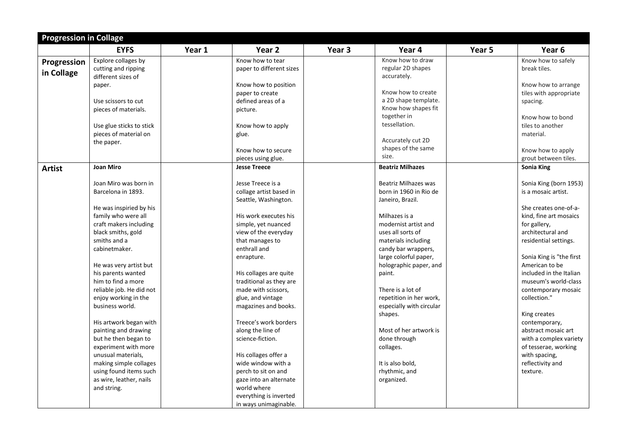| <b>Progression in Collage</b> |                          |        |                          |        |                          |        |                          |
|-------------------------------|--------------------------|--------|--------------------------|--------|--------------------------|--------|--------------------------|
|                               | <b>EYFS</b>              | Year 1 | Year 2                   | Year 3 | Year 4                   | Year 5 | Year 6                   |
| Progression                   | Explore collages by      |        | Know how to tear         |        | Know how to draw         |        | Know how to safely       |
| in Collage                    | cutting and ripping      |        | paper to different sizes |        | regular 2D shapes        |        | break tiles.             |
|                               | different sizes of       |        |                          |        | accurately.              |        |                          |
|                               | paper.                   |        | Know how to position     |        |                          |        | Know how to arrange      |
|                               |                          |        | paper to create          |        | Know how to create       |        | tiles with appropriate   |
|                               | Use scissors to cut      |        | defined areas of a       |        | a 2D shape template.     |        | spacing.                 |
|                               | pieces of materials.     |        | picture.                 |        | Know how shapes fit      |        |                          |
|                               |                          |        |                          |        | together in              |        | Know how to bond         |
|                               | Use glue sticks to stick |        | Know how to apply        |        | tessellation.            |        | tiles to another         |
|                               | pieces of material on    |        | glue.                    |        |                          |        | material.                |
|                               | the paper.               |        |                          |        | Accurately cut 2D        |        |                          |
|                               |                          |        | Know how to secure       |        | shapes of the same       |        | Know how to apply        |
|                               |                          |        | pieces using glue.       |        | size.                    |        | grout between tiles.     |
| <b>Artist</b>                 | <b>Joan Miro</b>         |        | <b>Jesse Treece</b>      |        | <b>Beatriz Milhazes</b>  |        | <b>Sonia King</b>        |
|                               |                          |        |                          |        |                          |        |                          |
|                               | Joan Miro was born in    |        | Jesse Treece is a        |        | Beatriz Milhazes was     |        | Sonia King (born 1953)   |
|                               | Barcelona in 1893.       |        | collage artist based in  |        | born in 1960 in Rio de   |        | is a mosaic artist.      |
|                               |                          |        | Seattle, Washington.     |        | Janeiro, Brazil.         |        |                          |
|                               | He was inspiried by his  |        |                          |        |                          |        | She creates one-of-a-    |
|                               | family who were all      |        | His work executes his    |        | Milhazes is a            |        | kind, fine art mosaics   |
|                               | craft makers including   |        | simple, yet nuanced      |        | modernist artist and     |        | for gallery,             |
|                               | black smiths, gold       |        | view of the everyday     |        | uses all sorts of        |        | architectural and        |
|                               | smiths and a             |        | that manages to          |        | materials including      |        | residential settings.    |
|                               | cabinetmaker.            |        | enthrall and             |        | candy bar wrappers,      |        |                          |
|                               |                          |        | enrapture.               |        | large colorful paper,    |        | Sonia King is "the first |
|                               | He was very artist but   |        |                          |        | holographic paper, and   |        | American to be           |
|                               | his parents wanted       |        | His collages are quite   |        | paint.                   |        | included in the Italian  |
|                               | him to find a more       |        | traditional as they are  |        |                          |        | museum's world-class     |
|                               | reliable job. He did not |        | made with scissors,      |        | There is a lot of        |        | contemporary mosaic      |
|                               | enjoy working in the     |        | glue, and vintage        |        | repetition in her work,  |        | collection."             |
|                               | business world.          |        | magazines and books.     |        | especially with circular |        |                          |
|                               |                          |        |                          |        | shapes.                  |        | King creates             |
|                               | His artwork began with   |        | Treece's work borders    |        |                          |        | contemporary,            |
|                               | painting and drawing     |        | along the line of        |        | Most of her artwork is   |        | abstract mosaic art      |
|                               | but he then began to     |        | science-fiction.         |        | done through             |        | with a complex variety   |
|                               | experiment with more     |        |                          |        | collages.                |        | of tesserae, working     |
|                               | unusual materials,       |        | His collages offer a     |        |                          |        | with spacing,            |
|                               | making simple collages   |        | wide window with a       |        | It is also bold,         |        | reflectivity and         |
|                               | using found items such   |        | perch to sit on and      |        | rhythmic, and            |        | texture.                 |
|                               | as wire, leather, nails  |        | gaze into an alternate   |        | organized.               |        |                          |
|                               | and string.              |        | world where              |        |                          |        |                          |
|                               |                          |        | everything is inverted   |        |                          |        |                          |
|                               |                          |        | in ways unimaginable.    |        |                          |        |                          |